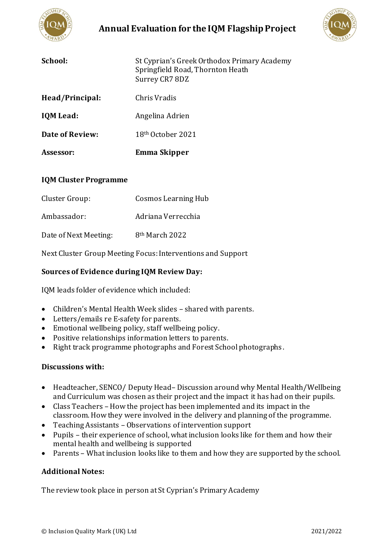

# **Annual Evaluation for the IQM Flagship Project**



| School:                | St Cyprian's Greek Orthodox Primary Academy<br>Springfield Road, Thornton Heath<br>Surrey CR7 8DZ |
|------------------------|---------------------------------------------------------------------------------------------------|
| Head/Principal:        | Chris Vradis                                                                                      |
| <b>IQM</b> Lead:       | Angelina Adrien                                                                                   |
| <b>Date of Review:</b> | 18 <sup>th</sup> October 2021                                                                     |
| Assessor:              | Emma Skipper                                                                                      |

#### **IQM Cluster Programme**

| Cluster Group:        | Cosmos Learning Hub        |
|-----------------------|----------------------------|
| Ambassador:           | Adriana Verrecchia         |
| Date of Next Meeting: | 8 <sup>th</sup> March 2022 |

Next Cluster Group Meeting Focus: Interventions and Support

## **Sources of Evidence during IQM Review Day:**

IQM leads folder of evidence which included:

- Children's Mental Health Week slides shared with parents.
- Letters/emails re E-safety for parents.
- Emotional wellbeing policy, staff wellbeing policy.
- Positive relationships information letters to parents.
- Right track programme photographs and Forest School photographs.

#### **Discussions with:**

- Headteacher, SENCO/ Deputy Head– Discussion around why Mental Health/Wellbeing and Curriculum was chosen as their project and the impact it has had on their pupils.
- Class Teachers How the project has been implemented and its impact in the classroom. How they were involved in the delivery and planning of the programme.
- Teaching Assistants Observations of intervention support
- Pupils their experience of school, what inclusion looks like for them and how their mental health and wellbeing is supported
- Parents What inclusion looks like to them and how they are supported by the school.

### **Additional Notes:**

The review took place in person at St Cyprian's Primary Academy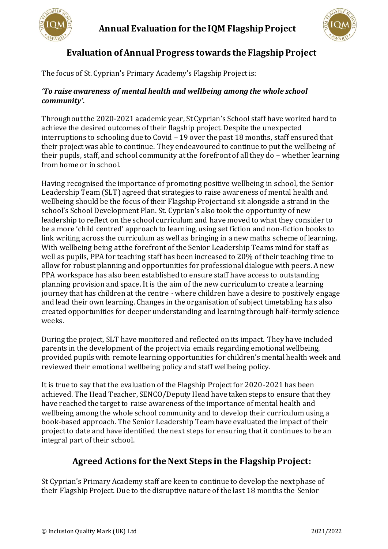



# **Evaluation of Annual Progress towards the Flagship Project**

The focus of St. Cyprian's Primary Academy's Flagship Project is:

#### *'To raise awareness of mental health and wellbeing among the whole school community'.*

Throughout the 2020-2021 academic year, St Cyprian's School staff have worked hard to achieve the desired outcomes of their flagship project. Despite the unexpected interruptions to schooling due to Covid – 19 over the past 18 months, staff ensured that their project was able to continue. They endeavoured to continue to put the wellbeing of their pupils, staff, and school community at the forefront of all they do – whether learning from home or in school.

Having recognised the importance of promoting positive wellbeing in school, the Senior Leadership Team (SLT) agreed that strategies to raise awareness of mental health and wellbeing should be the focus of their Flagship Project and sit alongside a strand in the school's School Development Plan. St. Cyprian's also took the opportunity of new leadership to reflect on the school curriculum and have moved to what they consider to be a more 'child centred' approach to learning, using set fiction and non-fiction books to link writing across the curriculum as well as bringing in a new maths scheme of learning. With wellbeing being at the forefront of the Senior Leadership Teams mind for staff as well as pupils, PPA for teaching staff has been increased to 20% of their teaching time to allow for robust planning and opportunities for professional dialogue with peers. A new PPA workspace has also been established to ensure staff have access to outstanding planning provision and space. It is the aim of the new curriculum to create a learning journey that has children at the centre - where children have a desire to positively engage and lead their own learning. Changes in the organisation of subject timetabling ha s also created opportunities for deeper understanding and learning through half-termly science weeks.

During the project, SLT have monitored and reflected on its impact. They have included parents in the development of the project via emails regarding emotional wellbeing, provided pupils with remote learning opportunities for children's mental health week and reviewed their emotional wellbeing policy and staff wellbeing policy.

It is true to say that the evaluation of the Flagship Project for 2020-2021 has been achieved. The Head Teacher, SENCO/Deputy Head have taken steps to ensure that they have reached the target to raise awareness of the importance of mental health and wellbeing among the whole school community and to develop their curriculum using a book-based approach. The Senior Leadership Team have evaluated the impact of their project to date and have identified the next steps for ensuring that it continues to be an integral part of their school.

# **Agreed Actions for the Next Steps in the Flagship Project:**

St Cyprian's Primary Academy staff are keen to continue to develop the next phase of their Flagship Project. Due to the disruptive nature of the last 18 months the Senior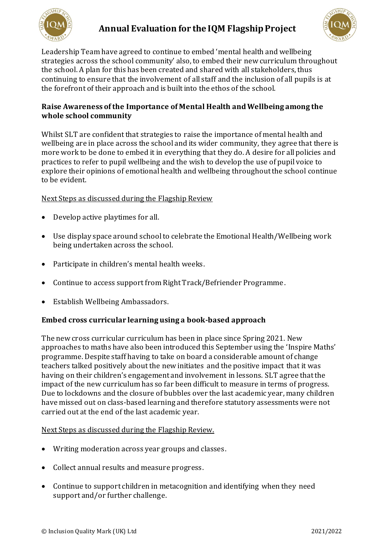



Leadership Team have agreed to continue to embed 'mental health and wellbeing strategies across the school community' also, to embed their new curriculum throughout the school. A plan for this has been created and shared with all stakeholders, thus continuing to ensure that the involvement of all staff and the inclusion of all pupils is at the forefront of their approach and is built into the ethos of the school.

### **Raise Awareness of the Importance of Mental Health and Wellbeing among the whole school community**

Whilst SLT are confident that strategies to raise the importance of mental health and wellbeing are in place across the school and its wider community, they agree that there is more work to be done to embed it in everything that they do. A desire for all policies and practices to refer to pupil wellbeing and the wish to develop the use of pupil voice to explore their opinions of emotional health and wellbeing throughout the school continue to be evident.

Next Steps as discussed during the Flagship Review

- Develop active playtimes for all.
- Use display space around school to celebrate the Emotional Health/Wellbeing work being undertaken across the school.
- Participate in children's mental health weeks.
- Continue to access support from Right Track/Befriender Programme.
- Establish Wellbeing Ambassadors.

### **Embed cross curricular learning using a book-based approach**

The new cross curricular curriculum has been in place since Spring 2021. New approaches to maths have also been introduced this September using the 'Inspire Maths' programme. Despite staff having to take on board a considerable amount of change teachers talked positively about the new initiates and the positive impact that it was having on their children's engagement and involvement in lessons. SLT agree that the impact of the new curriculum has so far been difficult to measure in terms of progress. Due to lockdowns and the closure of bubbles over the last academic year, many children have missed out on class-based learning and therefore statutory assessments were not carried out at the end of the last academic year.

### Next Steps as discussed during the Flagship Review.

- Writing moderation across year groups and classes.
- Collect annual results and measure progress.
- Continue to support children in metacognition and identifying when they need support and/or further challenge.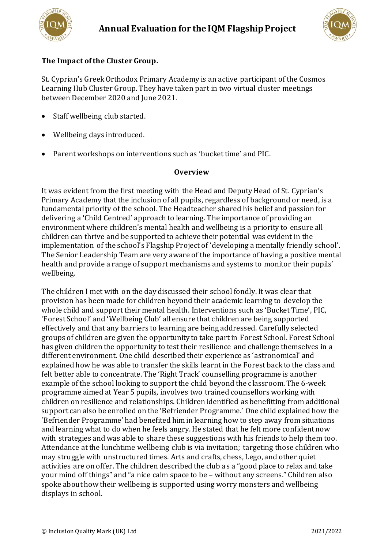



### **The Impact of the Cluster Group.**

St. Cyprian's Greek Orthodox Primary Academy is an active participant of the Cosmos Learning Hub Cluster Group. They have taken part in two virtual cluster meetings between December 2020 and June 2021.

- Staff wellbeing club started.
- Wellbeing days introduced.
- Parent workshops on interventions such as 'bucket time' and PIC.

#### **Overview**

It was evident from the first meeting with the Head and Deputy Head of St. Cyprian's Primary Academy that the inclusion of all pupils, regardless of background or need, is a fundamental priority of the school. The Headteacher shared his belief and passion for delivering a 'Child Centred' approach to learning. The importance of providing an environment where children's mental health and wellbeing is a priority to ensure all children can thrive and be supported to achieve their potential was evident in the implementation of the school's Flagship Project of 'developing a mentally friendly school'. The Senior Leadership Team are very aware of the importance of having a positive mental health and provide a range of support mechanisms and systems to monitor their pupils' wellbeing.

The children I met with on the day discussed their school fondly. It was clear that provision has been made for children beyond their academic learning to develop the whole child and support their mental health. Interventions such as 'Bucket Time', PIC, 'Forest School' and 'Wellbeing Club' all ensure that children are being supported effectively and that any barriers to learning are being addressed. Carefully selected groups of children are given the opportunity to take part in Forest School. Forest School has given children the opportunity to test their resilience and challenge themselves in a different environment. One child described their experience as 'astronomical' and explained how he was able to transfer the skills learnt in the Forest back to the class and felt better able to concentrate. The 'Right Track' counselling programme is another example of the school looking to support the child beyond the classroom. The 6-week programme aimed at Year 5 pupils, involves two trained counsellors working with children on resilience and relationships. Children identified as benefitting from additional support can also be enrolled on the 'Befriender Programme.' One child explained how the 'Befriender Programme' had benefited him in learning how to step away from situations and learning what to do when he feels angry. He stated that he felt more confident now with strategies and was able to share these suggestions with his friends to help them too. Attendance at the lunchtime wellbeing club is via invitation; targeting those children who may struggle with unstructured times. Arts and crafts, chess, Lego, and other quiet activities are on offer. The children described the club as a "good place to relax and take your mind off things" and "a nice calm space to be – without any screens." Children also spoke about how their wellbeing is supported using worry monsters and wellbeing displays in school.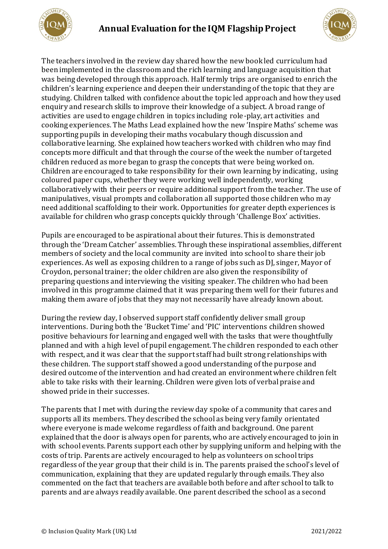



The teachers involved in the review day shared how the new book led curriculum had been implemented in the classroom and the rich learning and language acquisition that was being developed through this approach. Half termly trips are organised to enrich the children's learning experience and deepen their understanding of the topic that they are studying. Children talked with confidence about the topic led approach and how they used enquiry and research skills to improve their knowledge of a subject. A broad range of activities are used to engage children in topics including role-play, art activities and cooking experiences. The Maths Lead explained how the new 'Inspire Maths' scheme was supporting pupils in developing their maths vocabulary though discussion and collaborative learning. She explained how teachers worked with children who may find concepts more difficult and that through the course of the week the number of targeted children reduced as more began to grasp the concepts that were being worked on. Children are encouraged to take responsibility for their own learning by indicating, using coloured paper cups, whether they were working well independently, working collaboratively with their peers or require additional support from the teacher. The use of manipulatives, visual prompts and collaboration all supported those children who may need additional scaffolding to their work. Opportunities for greater depth experiences is available for children who grasp concepts quickly through 'Challenge Box' activities.

Pupils are encouraged to be aspirational about their futures. This is demonstrated through the 'Dream Catcher' assemblies. Through these inspirational assemblies, different members of society and the local community are invited into school to share their job experiences. As well as exposing children to a range of jobs such as DJ, singer, Mayor of Croydon, personal trainer; the older children are also given the responsibility of preparing questions and interviewing the visiting speaker. The children who had been involved in this programme claimed that it was preparing them well for their futures and making them aware of jobs that they may not necessarily have already known about.

During the review day, I observed support staff confidently deliver small group interventions. During both the 'Bucket Time' and 'PIC' interventions children showed positive behaviours for learning and engaged well with the tasks that were thoughtfully planned and with a high level of pupil engagement. The children responded to each other with respect, and it was clear that the support staff had built strong relationships with these children. The support staff showed a good understanding of the purpose and desired outcome of the intervention and had created an environment where children felt able to take risks with their learning. Children were given lots of verbal praise and showed pride in their successes.

The parents that I met with during the review day spoke of a community that cares and supports all its members. They described the school as being very family orientated where everyone is made welcome regardless of faith and background. One parent explained that the door is always open for parents, who are actively encouraged to join in with school events. Parents support each other by supplying uniform and helping with the costs of trip. Parents are actively encouraged to help as volunteers on school trips regardless of the year group that their child is in. The parents praised the school's level of communication, explaining that they are updated regularly through emails. They also commented on the fact that teachers are available both before and after school to talk to parents and are always readily available. One parent described the school as a second